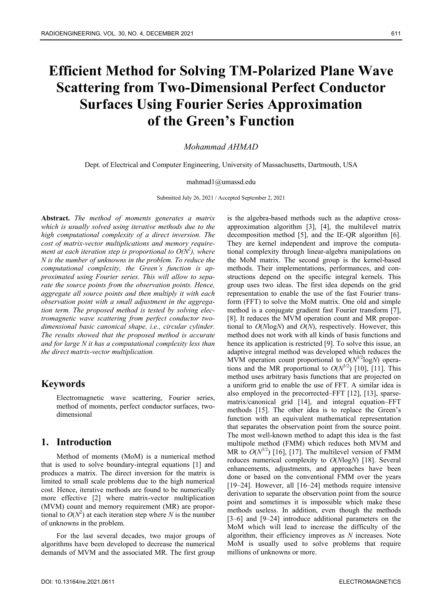# **Efficient Method for Solving TM-Polarized Plane Wave Scattering from Two-Dimensional Perfect Conductor Surfaces Using Fourier Series Approximation of the Green's Function**

*Mohammad AHMAD* 

Dept. of Electrical and Computer Engineering, University of Massachusetts, Dartmouth, USA

mahmad1@umassd.edu

Submitted July 26, 2021 / Accepted September 2, 2021

**Abstract.** *The method of moments generates a matrix which is usually solved using iterative methods due to the high computational complexity of a direct inversion. The cost of matrix-vector multiplications and memory requirement at each iteration step is proportional to*  $O(N^2)$ *, where N is the number of unknowns in the problem. To reduce the computational complexity, the Green's function is approximated using Fourier series. This will allow to separate the source points from the observation points. Hence, aggregate all source points and then multiply it with each observation point with a small adjustment in the aggregation term. The proposed method is tested by solving electromagnetic wave scattering from perfect conductor twodimensional basic canonical shape, i.e., circular cylinder. The results showed that the proposed method is accurate and for large N it has a computational complexity less than the direct matrix-vector multiplication.* 

### **Keywords**

Electromagnetic wave scattering, Fourier series, method of moments, perfect conductor surfaces, twodimensional

## **1. Introduction**

Method of moments (MoM) is a numerical method that is used to solve boundary-integral equations [1] and produces a matrix. The direct inversion for the matrix is limited to small scale problems due to the high numerical cost. Hence, iterative methods are found to be numerically more effective [2] where matrix-vector multiplication (MVM) count and memory requirement (MR) are proportional to  $O(N^2)$  at each iteration step where *N* is the number of unknowns in the problem.

For the last several decades, two major groups of algorithms have been developed to decrease the numerical demands of MVM and the associated MR. The first group

is the algebra-based methods such as the adaptive crossapproximation algorithm [3], [4], the multilevel matrix decomposition method [5], and the IE-QR algorithm [6]. They are kernel independent and improve the computational complexity through linear-algebra manipulations on the MoM matrix. The second group is the kernel-based methods. Their implementations, performances, and constructions depend on the specific integral kernels. This group uses two ideas. The first idea depends on the grid representation to enable the use of the fast Fourier transform (FFT) to solve the MoM matrix. One old and simple method is a conjugate gradient fast Fourier transform [7], [8]. It reduces the MVM operation count and MR proportional to *O*(*N*log*N*) and *O*(*N*), respectively. However, this method does not work with all kinds of basis functions and hence its application is restricted [9]. To solve this issue, an adaptive integral method was developed which reduces the MVM operation count proportional to  $O(N^{3/2} \log N)$  operations and the MR proportional to  $O(N^{3/2})$  [10], [11]. This method uses arbitrary basis functions that are projected on a uniform grid to enable the use of FFT. A similar idea is also employed in the precorrected–FFT [12], [13], sparsematrix/canonical grid [14], and integral equation–FFT methods [15]. The other idea is to replace the Green's function with an equivalent mathematical representation that separates the observation point from the source point. The most well-known method to adapt this idea is the fast multipole method (FMM) which reduces both MVM and MR to  $O(N^{3/2})$  [16], [17]. The multilevel version of FMM reduces numerical complexity to *O*(*N*log*N*) [18]. Several enhancements, adjustments, and approaches have been done or based on the conventional FMM over the years [19–24]. However, all [16–24] methods require intensive derivation to separate the observation point from the source point and sometimes it is impossible which make these methods useless. In addition, even though the methods [3–6] and [9–24] introduce additional parameters on the MoM which will lead to increase the difficulty of the algorithm, their efficiency improves as *N* increases. Note MoM is usually used to solve problems that require millions of unknowns or more.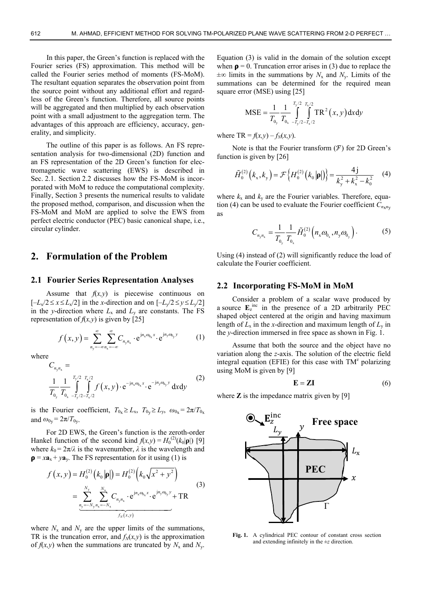In this paper, the Green's function is replaced with the Fourier series (FS) approximation. This method will be called the Fourier series method of moments (FS-MoM). The resultant equation separates the observation point from the source point without any additional effort and regardless of the Green's function. Therefore, all source points will be aggregated and then multiplied by each observation point with a small adjustment to the aggregation term. The advantages of this approach are efficiency, accuracy, generality, and simplicity.

The outline of this paper is as follows. An FS representation analysis for two-dimensional (2D) function and an FS representation of the 2D Green's function for electromagnetic wave scattering (EWS) is described in Sec. 2.1. Section 2.2 discusses how the FS-MoM is incorporated with MoM to reduce the computational complexity. Finally, Section 3 presents the numerical results to validate the proposed method, comparison, and discussion when the FS-MoM and MoM are applied to solve the EWS from perfect electric conductor (PEC) basic canonical shape, i.e., circular cylinder.

## **2. Formulation of the Problem**

#### **2.1 Fourier Series Representation Analyses**

Assume that  $f(x, y)$  is piecewise continuous on  $[-L_x/2 \le x \le L_x/2]$  in the *x*-direction and on  $[-L_y/2 \le y \le L_y/2]$ in the *y*-direction where  $L_x$  and  $L_y$  are constants. The FS representation of  $f(x, y)$  is given by [25]

$$
f(x,y) = \sum_{n_y = -\infty}^{\infty} \sum_{n_x = -\infty}^{\infty} C_{n_y n_x} \cdot e^{j n_x \omega_{0_x} x} \cdot e^{j n_y \omega_{0_y} y} \tag{1}
$$

where

$$
C_{n_{y}n_{x}} = \frac{1}{T_{0_{y}}} \frac{1}{T_{0_{x}}} \int_{-T_{y}/2 - T_{x}/2}^{T_{y}/2} f(x, y) \cdot e^{-jn_{x}\omega_{0_{x}}x} \cdot e^{-jn_{y}\omega_{0_{y}}y} dxdy
$$
(2)

is the Fourier coefficient,  $T_{0x} \ge L_x$ ,  $T_{0y} \ge L_y$ ,  $\omega_{0x} = 2\pi/T_{0x}$ and  $\omega_{0_{V}} = 2\pi/T_{0_{V}}$ .

For 2D EWS, the Green's function is the zeroth-order Hankel function of the second kind  $f(x,y) = H_0^{(2)}(k_0|\mathbf{p}|)$  [9] where  $k_0 = 2\pi/\lambda$  is the wavenumber,  $\lambda$  is the wavelength and  $\mathbf{p} = x\mathbf{a}_x + y\mathbf{a}_y$ . The FS representation for it using (1) is

$$
f(x, y) = H_0^{(2)}(k_0|\mathbf{p}|) = H_0^{(2)}(k_0\sqrt{x^2 + y^2})
$$
  
= 
$$
\sum_{\substack{n_y = -N_y}}^{N_y} \sum_{n_x = -N_x}^{N_x} C_{n_y n_x} \cdot e^{jn_x \omega_{0_x} x} \cdot e^{jn_y \omega_{0_y} y} + TR
$$
  
*f\_N(x, y)* (3)

where  $N_x$  and  $N_y$  are the upper limits of the summations, TR is the truncation error, and  $f_N(x, y)$  is the approximation of  $f(x, y)$  when the summations are truncated by  $N_x$  and  $N_y$ .

Equation (3) is valid in the domain of the solution except when  $\rho = 0$ . Truncation error arises in (3) due to replace the  $\pm \infty$  limits in the summations by  $N_x$  and  $N_y$ . Limits of the summations can be determined for the required mean square error (MSE) using [25]

$$
MSE = \frac{1}{T_{0y}} \frac{1}{T_{0x}} \int_{-T_y/2 - T_x/2}^{T_y/2} TR^2(x, y) dxdy
$$

where TR =  $f(x, y) - f<sub>N</sub>(x, y)$ .

Note is that the Fourier transform  $(F)$  for 2D Green's function is given by [26]

$$
\tilde{H}_0^{(2)}\left(k_x, k_y\right) = \mathcal{F}\left\{H_0^{(2)}\left(k_0\left|\mathbf{p}\right|\right)\right\} = \frac{4j}{k_y^2 + k_x^2 - k_0^2} \quad (4)
$$

where  $k_x$  and  $k_y$  are the Fourier variables. Therefore, equation (4) can be used to evaluate the Fourier coefficient  $C_{n \times n_V}$ as

$$
C_{n_{y}n_{x}} = \frac{1}{T_{0_{y}}} \frac{1}{T_{0_{x}}} \tilde{H}_{0}^{(2)}\left(n_{x} \omega_{0_{x}}, n_{y} \omega_{0_{y}}\right).
$$
 (5)

Using (4) instead of (2) will significantly reduce the load of calculate the Fourier coefficient.

#### **2.2 Incorporating FS-MoM in MoM**

Consider a problem of a scalar wave produced by a source  $\mathbf{E}_z^{\text{inc}}$  in the presence of a 2D arbitrarily PEC shaped object centered at the origin and having maximum length of  $L_x$  in the *x*-direction and maximum length of  $L_y$  in the *y*-direction immersed in free space as shown in Fig. 1.

Assume that both the source and the object have no variation along the *z*-axis. The solution of the electric field integral equation (EFIE) for this case with  $TM^z$  polarizing using MoM is given by [9]

$$
\mathbf{E} = \mathbf{Z}\mathbf{I} \tag{6}
$$

where  $\mathbb{Z}$  is the impedance matrix given by [9]



**Fig. 1.** A cylindrical PEC contour of constant cross section and extending infinitely in the ±*z* direction.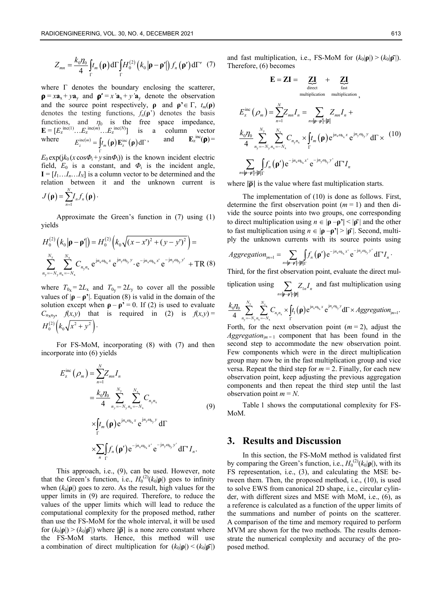$$
Z_{mn} = \frac{k_0 \eta_0}{4} \int_{\Gamma} t_m(\mathbf{\rho}) d\Gamma \int_{\Gamma} H_0^{(2)}(\mathbf{k}_0 |\mathbf{\rho} - \mathbf{\rho}'|) f_n(\mathbf{\rho}') d\Gamma' \quad (7)
$$

where  $\Gamma$  denotes the boundary enclosing the scatterer,  $\mathbf{p} = x\mathbf{a}_x + y\mathbf{a}_y$  and  $\mathbf{p'} = x'\mathbf{a}_x + y'\mathbf{a}_y$  denote the observation and the source point respectively, **ρ** and  $\mathbf{p'} \in \Gamma$ ,  $t_m(\mathbf{p})$ denotes the testing functions,  $f_n(\rho)$  denotes the basis functions, and  $\eta_0$  is the free space impedance,  $\mathbf{E} = [E_z^{\text{inc}(1)} \dots E_z^{\text{inc}(m)} \dots E_z^{\text{inc}(N)}]$  is a column vector where  $E_z^{\text{inc}(m)} = \int t_m(\mathbf{p}) \mathbf{E}_z^{\text{inc}}(\mathbf{p}) d\Gamma$ , and  $\mathbf{E}_z$ Γ  $E_z^{\text{inc}}(\rho)$ 

 $E_0 \exp(jk_0 (x \cos{\Phi_i} + y \sin{\Phi_i}))$  is the known incident electric field,  $E_0$  is a constant, and  $\Phi_i$  is the incident angle,  $I = [I_1...I_n...I_N]$  is a column vector to be determined and the relation between it and the unknown current is *N*

$$
J(\mathbf{\rho})=\sum_{n=1}^{N}I_{n}f_{n}(\mathbf{\rho})\cdot
$$

Approximate the Green's function in (7) using (1) yields

$$
H_0^{(2)}(k_0|\mathbf{p} - \mathbf{p}'|) = H_0^{(2)}(k_0\sqrt{(x-x')^2 + (y-y')^2}) =
$$
  

$$
\sum_{n_y=-N_y}^{N_y} \sum_{n_x=-N_x}^{N_x} C_{n_yn_x} e^{jn_x\omega_{0x}x} e^{jn_y\omega_{0y}y} \cdot e^{-jn_x\omega_{0x}x'} e^{-jn_y\omega_{0y}y'} + TR(8)
$$

where  $T_{0x} = 2L_x$  and  $T_{0y} = 2L_y$  to cover all the possible values of  $|\mathbf{p} - \mathbf{p}'|$ . Equation (8) is valid in the domain of the solution except when  $\rho - \rho' = 0$ . If (2) is used to evaluate  $C_{n \times n}$ ,  $f(x, y)$  that is required in (2) is  $f(x, y) =$  $H_0^{(2)}\left(k_0\sqrt{x^2+y^2}\right)$ .

For FS-MoM, incorporating (8) with (7) and then incorporate into (6) yields

$$
E_z^{\text{inc}}(\rho_m) = \sum_{n=1}^N Z_{mn} I_n
$$
  
\n
$$
= \frac{k_0 \eta_0}{4} \sum_{n_y = -N_y}^{N_y} \sum_{n_x = -N_x}^{N_x} C_{n_y n_x}
$$
  
\n
$$
\times \int_{\Gamma} t_m(\mathbf{p}) e^{j n_x \omega_{0x} x} e^{j n_y \omega_{0y} y} d\Gamma
$$
  
\n
$$
\times \sum_{n} \int_{\Gamma} f_n(\mathbf{p}') e^{-j n_x \omega_{0x} x'} e^{-j n_y \omega_{0y} y'} d\Gamma' I_n.
$$
 (9)

This approach, i.e., (9), can be used. However, note that the Green's function, i.e.,  $H_0^{(2)}(k_0|\mathbf{p}|)$  goes to infinity when  $(k_0|\mathbf{p}|)$  goes to zero. As the result, high values for the upper limits in (9) are required. Therefore, to reduce the values of the upper limits which will lead to reduce the computational complexity for the proposed method, rather than use the FS-MoM for the whole interval, it will be used for  $(k_0|\mathbf{p}|) > (k_0|\mathbf{p}|)$  where  $|\mathbf{p}|$  is a none zero constant where the FS-MoM starts. Hence, this method will use a combination of direct multiplication for  $(k_0|\mathbf{p}|) < (k_0|\mathbf{p}|)$ 

and fast multiplication, i.e., FS-MoM for  $(k_0|\mathbf{p}|) > (k_0|\mathbf{p}|)$ . Therefore, (6) becomes

$$
\mathbf{E} = \mathbf{Z}\mathbf{I} = \underbrace{\mathbf{Z}\mathbf{I}}_{\text{direct}} + \underbrace{\mathbf{Z}\mathbf{I}}_{\text{fast}}
$$
\n
$$
\text{multiplication multiplication,}
$$
\n
$$
E_z^{\text{inc}}(\rho_m) = \sum_{n=1}^{N} Z_{mn} I_n = \sum_{n \in |\mathbf{p} - \mathbf{p}'| < |\mathbf{p}|} Z_{mn} I_n +
$$
\n
$$
\frac{k_0 \eta_0}{4} \sum_{n_y = -N_y}^{N_y} \sum_{n_x = -N_x}^{N_x} C_{n_y n_x} \times \int_{\Gamma} t_m(\mathbf{p}) e^{j n_x \omega_{0x} x} e^{j n_y \omega_{0y} y} d\Gamma \times (10)
$$
\n
$$
\sum_{n \in |\mathbf{p} - \mathbf{p}'| > |\mathbf{p}|} f_n(\mathbf{p}') e^{-j n_x \omega_{0x} x'} e^{-j n_y \omega_{0y} y'} d\Gamma' I_n
$$

where  $|\overline{\rho}|$  is the value where fast multiplication starts.

The implementation of (10) is done as follows. First, determine the first observation point (*m* = 1) and then divide the source points into two groups, one corresponding to direct multiplication using  $n \in |\mathbf{p} - \mathbf{p}'| < |\mathbf{p}|$  and the other to fast multiplication using  $n \in |\rho - \rho^*| > |\rho^-|$ . Second, multiply the unknown currents with its source points using

$$
Aggregation_{|m=1} = \sum_{n \in |\mathbf{p}-\mathbf{p}'| > |\mathbf{p}|} \int_{\Gamma} f_n(\mathbf{p}') e^{-jn_x \omega_{b_x} x'} e^{-jn_y \omega_{b_y} y'} d\Gamma' I_n.
$$

Third, for the first observation point, evaluate the direct mul-

tiplication using  $\sum_{n \in |\mathbf{p} - \mathbf{p}'| \leq |\mathbf{p}|} Z_{1n} I_n$  $Z_{1n}$  $\sum_{\substack{n\in\mathfrak{p}-\mathfrak{p}'\leq\lvert\mathfrak{p}\rvert}}Z_{\substack{n}}I_n$  and fast multiplication using

$$
\frac{k_0\eta_0}{4}\sum_{n_y=-N_y}\sum_{n_x=-N_x}^{N_x}C_{n_yn_x}\times f_{t_1}(\rho)e^{jn_x\omega_{0x}x}e^{jn_y\omega_{0y}y}\mathrm{d}\Gamma\times Aggregation_{m=1}.
$$

Forth, for the next observation point  $(m = 2)$ , adjust the *Aggregation*<sub> $|m=1$ </sub> component that has been found in the second step to accommodate the new observation point. Few components which were in the direct multiplication group may now be in the fast multiplication group and vice versa. Repeat the third step for  $m = 2$ . Finally, for each new observation point, keep adjusting the previous aggregation components and then repeat the third step until the last observation point  $m = N$ .

Table 1 shows the computational complexity for FS-MoM.

# **3. Results and Discussion**

In this section, the FS-MoM method is validated first by comparing the Green's function, i.e.,  $H_0^{(2)}(k_0|\mathbf{p}|)$ , with its FS representation, i.e., (3), and calculating the MSE between them. Then, the proposed method, i.e., (10), is used to solve EWS from canonical 2D shape, i.e., circular cylinder, with different sizes and MSE with MoM, i.e., (6), as a reference is calculated as a function of the upper limits of the summations and number of points on the scatterer. A comparison of the time and memory required to perform MVM are shown for the two methods. The results demonstrate the numerical complexity and accuracy of the proposed method.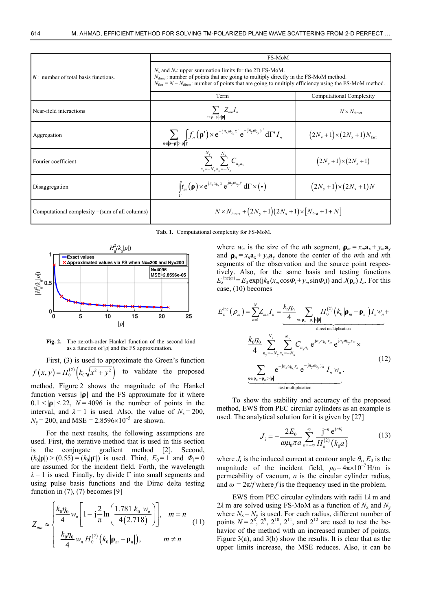| $N$ : number of total basis functions.            | FS-MoM                                                                                                                                                                                                                                                                               |                                                  |
|---------------------------------------------------|--------------------------------------------------------------------------------------------------------------------------------------------------------------------------------------------------------------------------------------------------------------------------------------|--------------------------------------------------|
|                                                   | $N_x$ and $N_y$ : upper summation limits for the 2D FS-MoM.<br>$Ndirect$ : number of points that are going to multiply directly in the FS-MoM method.<br>$N_{\text{fast}} = N - N_{\text{direct}}$ ; number of points that are going to multiply efficiency using the FS-MoM method. |                                                  |
|                                                   | Term                                                                                                                                                                                                                                                                                 | Computational Complexity                         |
| Near-field interactions                           | $\sum_{n\in \mathbf{p}-\mathbf{p}' < \overline{\mathbf{p}} }Z_{mn}I_n$                                                                                                                                                                                                               | $N \times N_{\text{direct}}$                     |
| Aggregation                                       | $\sum_{n\in \mathbf{p}-\mathbf{p}' >\ \mathbf{p}\ \Gamma}f_n(\mathbf{p}')\times e^{-jn_x\omega_{0_x}x'}e^{-jn_y\omega_{0_y}y'}d\Gamma'I_n$                                                                                                                                           | $(2N_{\rm v}+1)\times(2N_{\rm x}+1)N_{\rm fast}$ |
| Fourier coefficient                               | $\sum^{N_{\rm y}}$ $\sum^{N_{\rm x}}$ $C_{n_{\rm y}n_{\rm x}}$<br>$n_{\rm v} = -N_{\rm v} n_{\rm x} = -N_{\rm x}$                                                                                                                                                                    | $(2N_v + 1) \times (2N_x + 1)$                   |
| Disaggregation                                    | $\int t_m(\mathbf{p}) \times e^{j n_x \omega_{0x} x} e^{j n_y \omega_{0y} y} d\Gamma \times (\bullet)$                                                                                                                                                                               | $(2N_{v}+1)\times (2N_{x}+1)N$                   |
| Computational complexity $=$ (sum of all columns) | $N \times N_{\text{direct}} + (2N_{\text{v}} + 1)(2N_{\text{x}} + 1) \times [N_{\text{fast}} + 1 + N]$                                                                                                                                                                               |                                                  |

**Tab. 1.** Computational complexity for FS-MoM.



**Fig. 2.** The zeroth-order Hankel function of the second kind as a function of  $|\rho|$  and the FS approximation.

First, (3) is used to approximate the Green's function  $f(x, y) = H_0^{(2)}(k_0\sqrt{x^2 + y^2})$  to validate the proposed method. Figure 2 shows the magnitude of the Hankel function versus  $|\rho|$  and the FS approximate for it where  $0.1 < |\mathbf{p}| \leq 22$ ,  $N = 4096$  is the number of points in the interval, and  $\lambda = 1$  is used. Also, the value of  $N_x = 200$ ,  $N_v = 200$ , and MSE = 2.8596×10<sup>-5</sup> are shown.

For the next results, the following assumptions are used. First, the iterative method that is used in this section is the conjugate gradient method [2]. Second,  $(k_0|\mathbf{p}|) > (0.55) = (k_0|\mathbf{p}|)$  is used. Third,  $E_0 = 1$  and  $\Phi_i = 0$ are assumed for the incident field. Forth, the wavelength  $\lambda = 1$  is used. Finally, by divide  $\Gamma$  into small segments and using pulse basis functions and the Dirac delta testing function in  $(7)$ ,  $(7)$  becomes [9]

$$
Z_{mn} \approx \begin{cases} \frac{k_0 \eta_0}{4} w_n \left[ 1 - j \frac{2}{\pi} \ln \left( \frac{1.781 \ k_0 \ w_n}{4 (2.718)} \right) \right], & m = n \\ \frac{k_0 \eta_0}{4} w_n H_0^{(2)} \left( k_0 \left| \mathbf{p}_m - \mathbf{p}_n \right| \right), & m \neq n \end{cases} \tag{11}
$$

where  $w_n$  is the size of the *n*th segment,  $\rho_m = x_m a_x + y_m a_y$ and  $\rho_n = x_n a_x + y_n a_y$  denote the center of the *m*th and *n*th segments of the observation and the source point respectively. Also, for the same basis and testing functions  $E_z^{\text{inc}(m)} = E_0 \exp(jk_0(x_m \cos \Phi_i + y_m \sin \Phi_i))$  and  $J(\rho_n) I_n$ . For this case, (10) becomes

$$
E_z^{\text{inc}}(\rho_m) = \sum_{n=1}^N Z_{mn} I_n = \underbrace{\frac{k_0 \eta_0}{4} \sum_{n \in |\mathbf{p}_m - \mathbf{p}_n| \cdot |\mathbf{p}|} H_0^{(2)}(k_0 |\mathbf{p}_m - \mathbf{p}_n|) I_n w_n}_{\text{direct multiplication}}
$$

$$
\frac{k_0 \eta_0}{4} \sum_{n_y = -N_y}^{N_y} \sum_{n_x = -N_x}^{N_x} C_{n_y n_x} e^{j n_x \omega_{0_x} x_m} e^{j n_y \omega_{0_y} y_m} \times
$$

$$
\sum_{\substack{n \in |\mathbf{p}_m - \mathbf{p}_n| > |\mathbf{p}| \\ \text{fast multiplication}}} \frac{e^{-j n_x \omega_{0_x} x_n} e^{-j n_y \omega_{0_y} y_n} I_n w_n}{\text{fast multiplication}}.
$$
 (12)

To show the stability and accuracy of the proposed method, EWS from PEC circular cylinders as an example is used. The analytical solution for it is given by [27]

$$
J_{i} = -\frac{2E_{0}}{\omega\mu_{0}\pi a} \sum_{n=-\infty}^{\infty} \frac{j^{-n} e^{jn\theta_{i}}}{H_{n}^{(2)}(k_{0}a)}
$$
(13)

where  $J_i$  is the induced current at contour angle  $\theta_i$ ,  $E_0$  is the magnitude of the incident field,  $\mu_0 = 4\pi \times 10^{-7}$  H/m is permeability of vacuum, *a* is the circular cylinder radius, and  $\omega = 2\pi/f$  where f is the frequency used in the problem.

EWS from PEC circular cylinders with radii 1*λ* m and 2 $\lambda$  m are solved using FS-MoM as a function of  $N_x$  and  $N_y$ where  $N_x = N_y$  is used. For each radius, different number of points  $N = 2^8$ ,  $2^9$ ,  $2^{10}$ ,  $2^{11}$ , and  $2^{12}$  are used to test the behavior of the method with an increased number of points. Figure 3(a), and 3(b) show the results. It is clear that as the upper limits increase, the MSE reduces. Also, it can be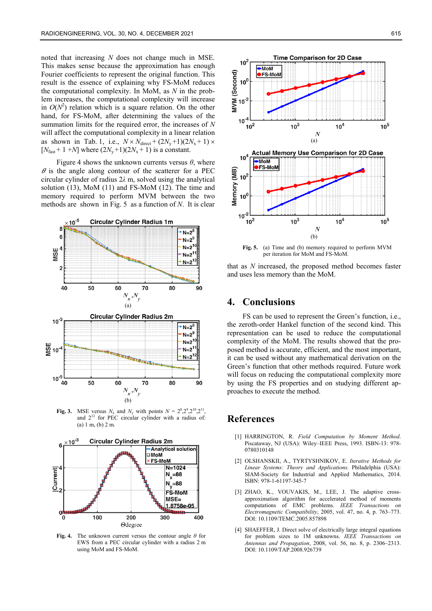noted that increasing *N* does not change much in MSE. This makes sense because the approximation has enough Fourier coefficients to represent the original function. This result is the essence of explaining why FS-MoM reduces the computational complexity. In MoM, as *N* in the problem increases, the computational complexity will increase in  $O(N^2)$  relation which is a square relation. On the other hand, for FS-MoM, after determining the values of the summation limits for the required error, the increases of *N* will affect the computational complexity in a linear relation as shown in Tab. 1, i.e.,  $N \times N_{\text{direct}} + (2N_{\text{y}}+1)(2N_{\text{x}}+1) \times$  $[N<sub>fast</sub> + 1 + N]$  where  $(2N<sub>v</sub> + 1)(2N<sub>x</sub> + 1)$  is a constant.

Figure 4 shows the unknown currents versus  $\theta$ , where  $\theta$  is the angle along contour of the scatterer for a PEC circular cylinder of radius 2*λ* m, solved using the analytical solution (13), MoM (11) and FS-MoM (12). The time and memory required to perform MVM between the two methods are shown in Fig. 5 as a function of *N*. It is clear



**Fig. 3.** MSE versus  $N_x$  and  $N_y$  with points  $N = 2^8, 2^9, 2^{10}, 2^{11}$ , and  $2^{12}$  for PEC circular cylinder with a radius of: (a) 1 m, (b) 2 m.



**Fig. 4.** The unknown current versus the contour angle *θ* for EWS from a PEC circular cylinder with a radius 2 m using MoM and FS-MoM.



**Fig. 5.** (a) Time and (b) memory required to perform MVM per iteration for MoM and FS-MoM.

that as *N* increased, the proposed method becomes faster and uses less memory than the MoM.

# **4. Conclusions**

FS can be used to represent the Green's function, i.e., the zeroth-order Hankel function of the second kind. This representation can be used to reduce the computational complexity of the MoM. The results showed that the proposed method is accurate, efficient, and the most important, it can be used without any mathematical derivation on the Green's function that other methods required. Future work will focus on reducing the computational complexity more by using the FS properties and on studying different approaches to execute the method.

# **References**

- [1] HARRINGTON, R. *Field Computation by Moment Method*. Piscataway, NJ (USA): Wiley–IEEE Press, 1993. ISBN-13: 978- 0780310148
- [2] OLSHANSKII, A., TYRTYSHNIKOV, E. *Iterative Methods for Linear Systems: Theory and Applications*. Philadelphia (USA): SIAM-Society for Industrial and Applied Mathematics, 2014. ISBN: 978-1-61197-345-7
- [3] ZHAO, K., VOUVAKIS, M., LEE, J. The adaptive crossapproximation algorithm for accelerated method of moments computations of EMC problems. *IEEE Transactions on Electromagnetic Compatibility*, 2005, vol. 47, no. 4, p. 763–773. DOI: 10.1109/TEMC.2005.857898
- [4] SHAEFFER, J. Direct solve of electrically large integral equations for problem sizes to 1M unknowns. *IEEE Transactions on Antennas and Propagation*, 2008, vol. 56, no. 8, p. 2306–2313. DOI: 10.1109/TAP.2008.926739